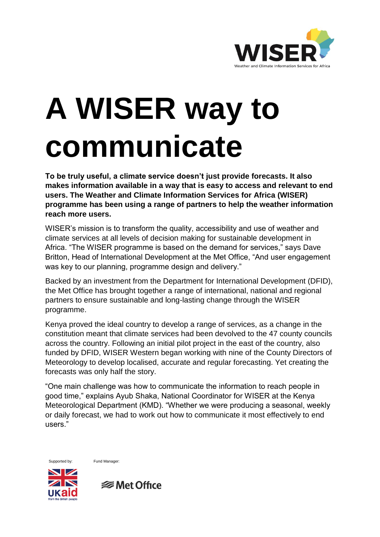

## **A WISER way to communicate**

**To be truly useful, a climate service doesn't just provide forecasts. It also makes information available in a way that is easy to access and relevant to end users. The Weather and Climate Information Services for Africa (WISER) programme has been using a range of partners to help the weather information reach more users.** 

WISER's mission is to transform the quality, accessibility and use of weather and climate services at all levels of decision making for sustainable development in Africa. "The WISER programme is based on the demand for services," says Dave Britton, Head of International Development at the Met Office, "And user engagement was key to our planning, programme design and delivery."

Backed by an investment from the Department for International Development (DFID), the Met Office has brought together a range of international, national and regional partners to ensure sustainable and long-lasting change through the WISER programme.

Kenya proved the ideal country to develop a range of services, as a change in the constitution meant that climate services had been devolved to the 47 county councils across the country. Following an initial pilot project in the east of the country, also funded by DFID, WISER Western began working with nine of the County Directors of Meteorology to develop localised, accurate and regular forecasting. Yet creating the forecasts was only half the story.

"One main challenge was how to communicate the information to reach people in good time," explains Ayub Shaka, National Coordinator for WISER at the Kenya Meteorological Department (KMD). "Whether we were producing a seasonal, weekly or daily forecast, we had to work out how to communicate it most effectively to end users."

Supported by: Fund Manager:



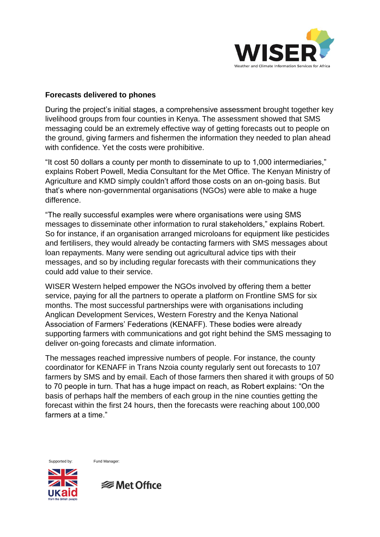

## **Forecasts delivered to phones**

During the project's initial stages, a comprehensive assessment brought together key livelihood groups from four counties in Kenya. The assessment showed that SMS messaging could be an extremely effective way of getting forecasts out to people on the ground, giving farmers and fishermen the information they needed to plan ahead with confidence. Yet the costs were prohibitive.

"It cost 50 dollars a county per month to disseminate to up to 1,000 intermediaries," explains Robert Powell, Media Consultant for the Met Office. The Kenyan Ministry of Agriculture and KMD simply couldn't afford those costs on an on-going basis. But that's where non-governmental organisations (NGOs) were able to make a huge difference.

"The really successful examples were where organisations were using SMS messages to disseminate other information to rural stakeholders," explains Robert. So for instance, if an organisation arranged microloans for equipment like pesticides and fertilisers, they would already be contacting farmers with SMS messages about loan repayments. Many were sending out agricultural advice tips with their messages, and so by including regular forecasts with their communications they could add value to their service.

WISER Western helped empower the NGOs involved by offering them a better service, paying for all the partners to operate a platform on Frontline SMS for six months. The most successful partnerships were with organisations including Anglican Development Services, Western Forestry and the Kenya National Association of Farmers' Federations (KENAFF). These bodies were already supporting farmers with communications and got right behind the SMS messaging to deliver on-going forecasts and climate information.

The messages reached impressive numbers of people. For instance, the county coordinator for KENAFF in Trans Nzoia county regularly sent out forecasts to 107 farmers by SMS and by email. Each of those farmers then shared it with groups of 50 to 70 people in turn. That has a huge impact on reach, as Robert explains: "On the basis of perhaps half the members of each group in the nine counties getting the forecast within the first 24 hours, then the forecasts were reaching about 100,000 farmers at a time."

Supported by: Fund Manager:



**<del></del>** Met Office